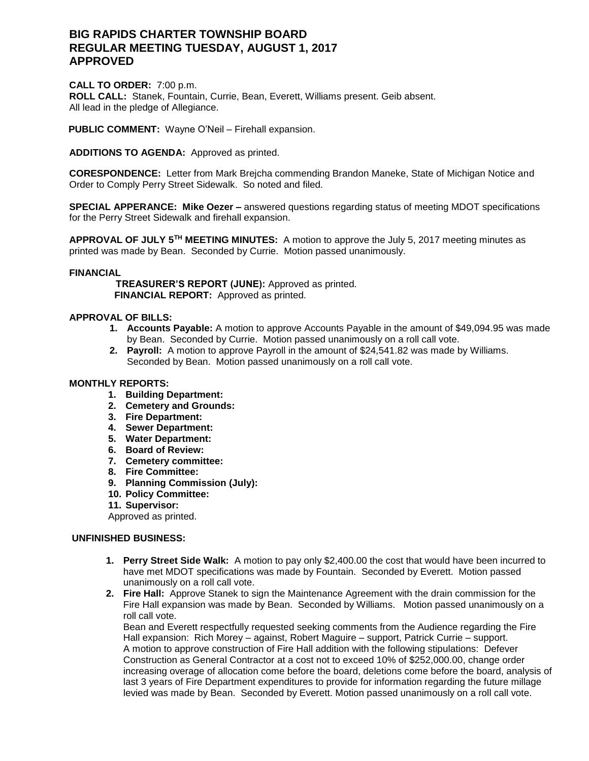# **BIG RAPIDS CHARTER TOWNSHIP BOARD REGULAR MEETING TUESDAY, AUGUST 1, 2017 APPROVED**

**CALL TO ORDER:** 7:00 p.m. **ROLL CALL:** Stanek, Fountain, Currie, Bean, Everett, Williams present. Geib absent. All lead in the pledge of Allegiance.

**PUBLIC COMMENT:** Wayne O'Neil – Firehall expansion.

**ADDITIONS TO AGENDA:** Approved as printed.

**CORESPONDENCE:** Letter from Mark Brejcha commending Brandon Maneke, State of Michigan Notice and Order to Comply Perry Street Sidewalk. So noted and filed.

**SPECIAL APPERANCE: Mike Oezer –** answered questions regarding status of meeting MDOT specifications for the Perry Street Sidewalk and firehall expansion.

**APPROVAL OF JULY 5TH MEETING MINUTES:** A motion to approve the July 5, 2017 meeting minutes as printed was made by Bean. Seconded by Currie. Motion passed unanimously.

#### **FINANCIAL**

 **TREASURER'S REPORT (JUNE):** Approved as printed.  **FINANCIAL REPORT:** Approved as printed.

### **APPROVAL OF BILLS:**

- **1. Accounts Payable:** A motion to approve Accounts Payable in the amount of \$49,094.95 was made by Bean. Seconded by Currie. Motion passed unanimously on a roll call vote.
- **2. Payroll:** A motion to approve Payroll in the amount of \$24,541.82 was made by Williams. Seconded by Bean. Motion passed unanimously on a roll call vote.

### **MONTHLY REPORTS:**

- **1. Building Department:**
- **2. Cemetery and Grounds:**
- **3. Fire Department:**
- **4. Sewer Department:**
- **5. Water Department:**
- **6. Board of Review:**
- **7. Cemetery committee:**
- **8. Fire Committee:**
- **9. Planning Commission (July):**
- **10. Policy Committee:**
- **11. Supervisor:**

Approved as printed.

### **UNFINISHED BUSINESS:**

- **1. Perry Street Side Walk:** A motion to pay only \$2,400.00 the cost that would have been incurred to have met MDOT specifications was made by Fountain. Seconded by Everett. Motion passed unanimously on a roll call vote.
- **2. Fire Hall:** Approve Stanek to sign the Maintenance Agreement with the drain commission for the Fire Hall expansion was made by Bean. Seconded by Williams. Motion passed unanimously on a roll call vote.

Bean and Everett respectfully requested seeking comments from the Audience regarding the Fire Hall expansion: Rich Morey – against, Robert Maguire – support, Patrick Currie – support. A motion to approve construction of Fire Hall addition with the following stipulations: Defever Construction as General Contractor at a cost not to exceed 10% of \$252,000.00, change order increasing overage of allocation come before the board, deletions come before the board, analysis of last 3 years of Fire Department expenditures to provide for information regarding the future millage levied was made by Bean. Seconded by Everett. Motion passed unanimously on a roll call vote.